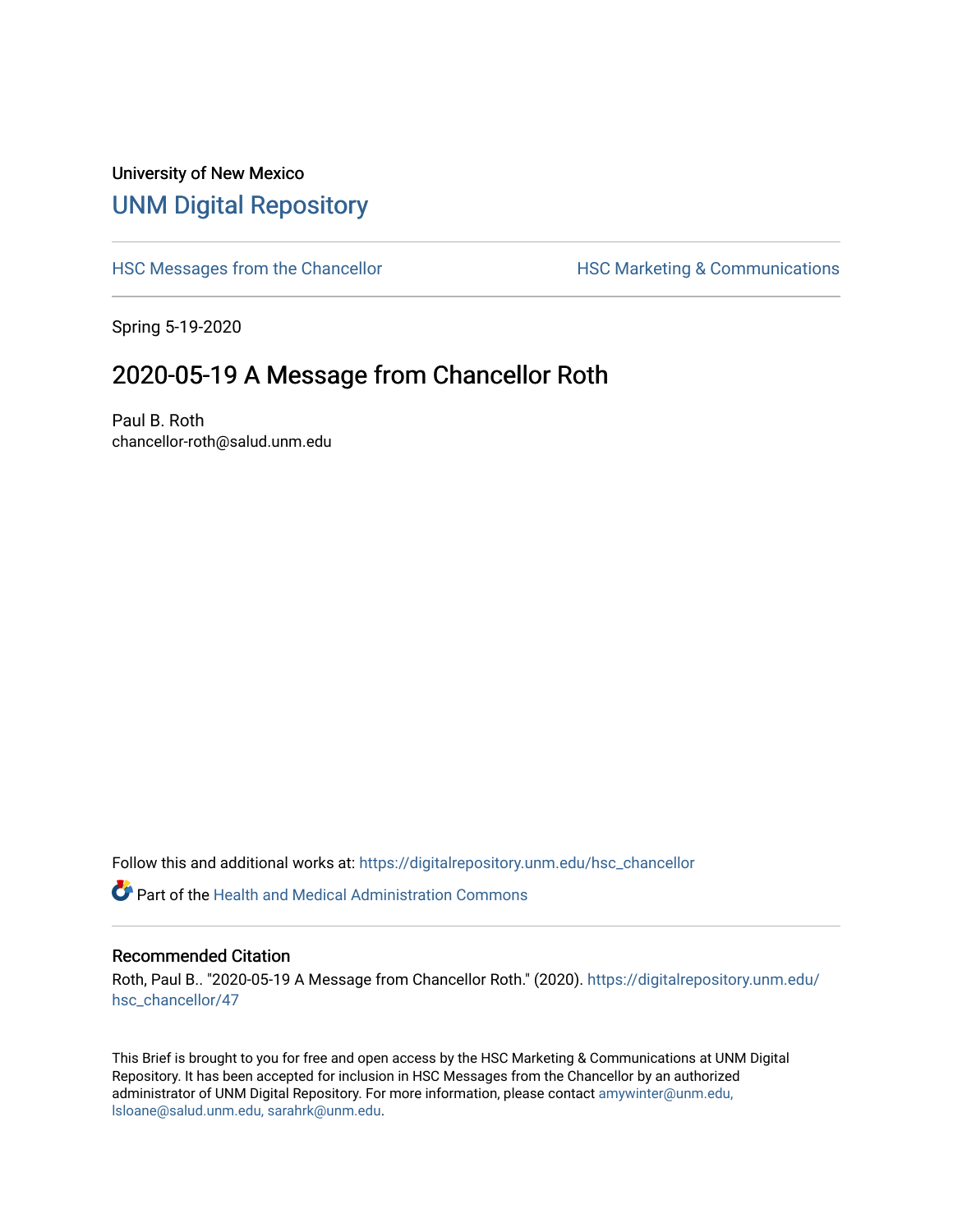## University of New Mexico [UNM Digital Repository](https://digitalrepository.unm.edu/)

[HSC Messages from the Chancellor](https://digitalrepository.unm.edu/hsc_chancellor) **HSC Marketing & Communications** 

Spring 5-19-2020

## 2020-05-19 A Message from Chancellor Roth

Paul B. Roth chancellor-roth@salud.unm.edu

Follow this and additional works at: [https://digitalrepository.unm.edu/hsc\\_chancellor](https://digitalrepository.unm.edu/hsc_chancellor?utm_source=digitalrepository.unm.edu%2Fhsc_chancellor%2F47&utm_medium=PDF&utm_campaign=PDFCoverPages) 

 $\bullet$  Part of the [Health and Medical Administration Commons](http://network.bepress.com/hgg/discipline/663?utm_source=digitalrepository.unm.edu%2Fhsc_chancellor%2F47&utm_medium=PDF&utm_campaign=PDFCoverPages)

## Recommended Citation

Roth, Paul B.. "2020-05-19 A Message from Chancellor Roth." (2020). [https://digitalrepository.unm.edu/](https://digitalrepository.unm.edu/hsc_chancellor/47?utm_source=digitalrepository.unm.edu%2Fhsc_chancellor%2F47&utm_medium=PDF&utm_campaign=PDFCoverPages) [hsc\\_chancellor/47](https://digitalrepository.unm.edu/hsc_chancellor/47?utm_source=digitalrepository.unm.edu%2Fhsc_chancellor%2F47&utm_medium=PDF&utm_campaign=PDFCoverPages) 

This Brief is brought to you for free and open access by the HSC Marketing & Communications at UNM Digital Repository. It has been accepted for inclusion in HSC Messages from the Chancellor by an authorized administrator of UNM Digital Repository. For more information, please contact [amywinter@unm.edu,](mailto:amywinter@unm.edu,%20lsloane@salud.unm.edu,%20sarahrk@unm.edu) [lsloane@salud.unm.edu, sarahrk@unm.edu.](mailto:amywinter@unm.edu,%20lsloane@salud.unm.edu,%20sarahrk@unm.edu)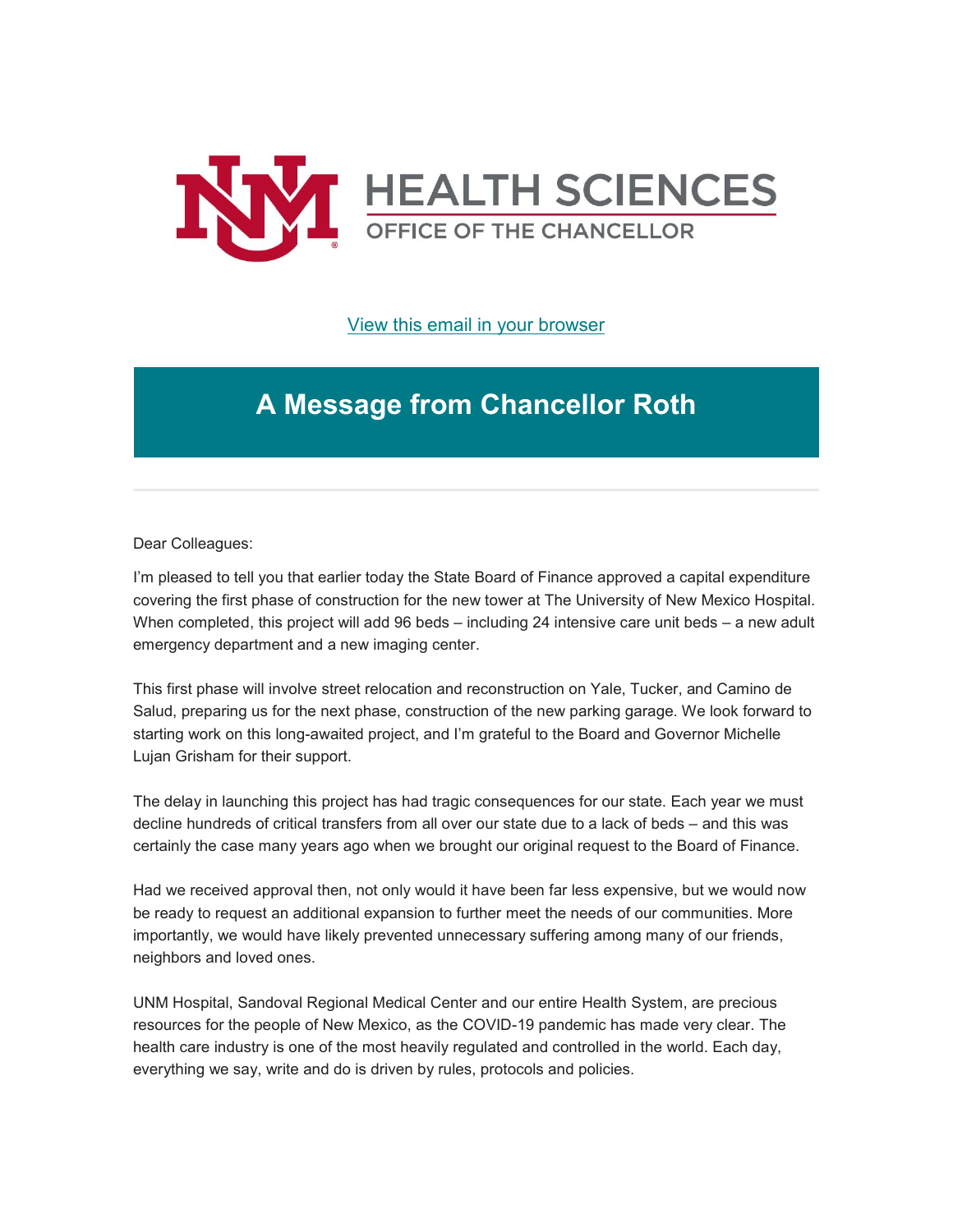

[View this email in your browser](https://mailchi.mp/277317d44667/message-from-the-chancellor-coronavirus-4418400?e=b4bbfca2c0)

## **A Message from Chancellor Roth**

Dear Colleagues:

I'm pleased to tell you that earlier today the State Board of Finance approved a capital expenditure covering the first phase of construction for the new tower at The University of New Mexico Hospital. When completed, this project will add 96 beds – including 24 intensive care unit beds – a new adult emergency department and a new imaging center.

This first phase will involve street relocation and reconstruction on Yale, Tucker, and Camino de Salud, preparing us for the next phase, construction of the new parking garage. We look forward to starting work on this long-awaited project, and I'm grateful to the Board and Governor Michelle Lujan Grisham for their support.

The delay in launching this project has had tragic consequences for our state. Each year we must decline hundreds of critical transfers from all over our state due to a lack of beds – and this was certainly the case many years ago when we brought our original request to the Board of Finance.

Had we received approval then, not only would it have been far less expensive, but we would now be ready to request an additional expansion to further meet the needs of our communities. More importantly, we would have likely prevented unnecessary suffering among many of our friends, neighbors and loved ones.

UNM Hospital, Sandoval Regional Medical Center and our entire Health System, are precious resources for the people of New Mexico, as the COVID-19 pandemic has made very clear. The health care industry is one of the most heavily regulated and controlled in the world. Each day, everything we say, write and do is driven by rules, protocols and policies.